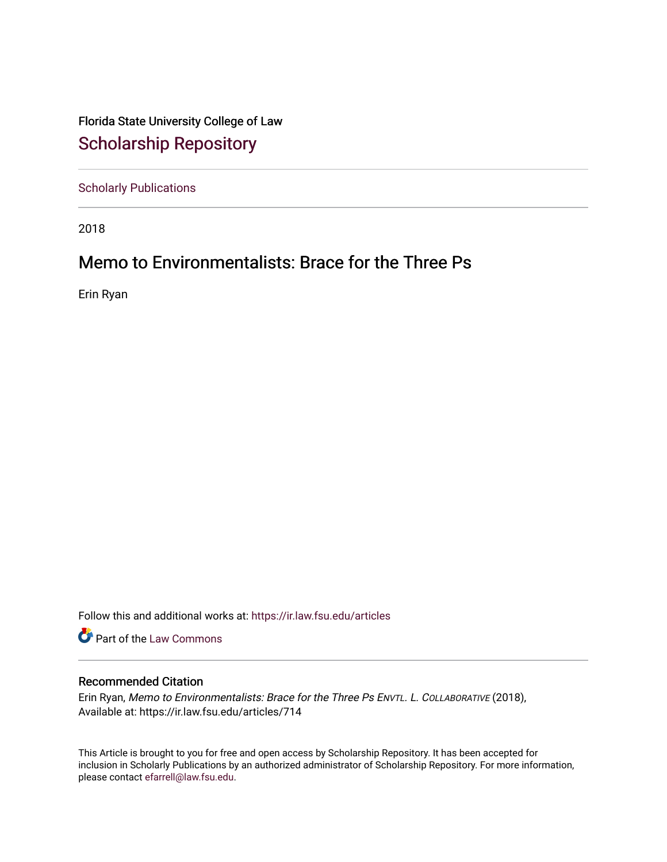Florida State University College of Law [Scholarship Repository](https://ir.law.fsu.edu/) 

[Scholarly Publications](https://ir.law.fsu.edu/articles) 

2018

## Memo to Environmentalists: Brace for the Three Ps

Erin Ryan

Follow this and additional works at: [https://ir.law.fsu.edu/articles](https://ir.law.fsu.edu/articles?utm_source=ir.law.fsu.edu%2Farticles%2F714&utm_medium=PDF&utm_campaign=PDFCoverPages) 

Part of the [Law Commons](https://network.bepress.com/hgg/discipline/578?utm_source=ir.law.fsu.edu%2Farticles%2F714&utm_medium=PDF&utm_campaign=PDFCoverPages)

## Recommended Citation

Erin Ryan, Memo to Environmentalists: Brace for the Three Ps ENVTL. L. COLLABORATIVE (2018), Available at: https://ir.law.fsu.edu/articles/714

This Article is brought to you for free and open access by Scholarship Repository. It has been accepted for inclusion in Scholarly Publications by an authorized administrator of Scholarship Repository. For more information, please contact [efarrell@law.fsu.edu.](mailto:efarrell@law.fsu.edu)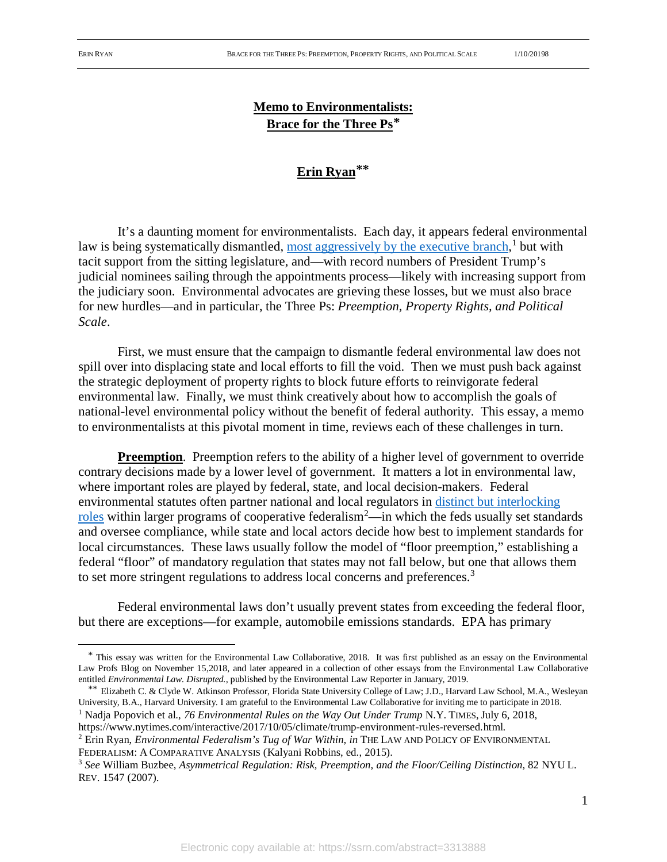## **Memo to Environmentalists: Brace for the Three Ps[\\*](#page-1-0)**

## **Erin Ryan[\\*](#page-1-1)\***

It's a daunting moment for environmentalists. Each day, it appears federal environmental law is being systematically dismantled, [most aggressively by the executive branch,](https://www.nytimes.com/interactive/2017/10/05/climate/trump-environment-rules-reversed.html)<sup>[1](#page-1-2)</sup> but with tacit support from the sitting legislature, and—with record numbers of President Trump's judicial nominees sailing through the appointments process—likely with increasing support from the judiciary soon. Environmental advocates are grieving these losses, but we must also brace for new hurdles—and in particular, the Three Ps: *Preemption, Property Rights, and Political Scale*.

First, we must ensure that the campaign to dismantle federal environmental law does not spill over into displacing state and local efforts to fill the void. Then we must push back against the strategic deployment of property rights to block future efforts to reinvigorate federal environmental law. Finally, we must think creatively about how to accomplish the goals of national-level environmental policy without the benefit of federal authority. This essay, a memo to environmentalists at this pivotal moment in time, reviews each of these challenges in turn.

**Preemption**. Preemption refers to the ability of a higher level of government to override contrary decisions made by a lower level of government. It matters a lot in environmental law, where important roles are played by federal, state, and local decision-makers. Federal environmental statutes often partner national and local regulators in [distinct but interlocking](https://papers.ssrn.com/sol3/papers.cfm?abstract_id=2532687)  [roles](https://papers.ssrn.com/sol3/papers.cfm?abstract_id=2532687) within larger programs of cooperative federalism<sup>[2](#page-1-3)</sup>—in which the feds usually set standards and oversee compliance, while state and local actors decide how best to implement standards for local circumstances. These laws usually follow the model of "floor preemption," establishing a federal "floor" of mandatory regulation that states may not fall below, but one that allows them to set more stringent regulations to address local concerns and preferences.<sup>[3](#page-1-4)</sup>

Federal environmental laws don't usually prevent states from exceeding the federal floor, but there are exceptions—for example, automobile emissions standards. EPA has primary

<span id="page-1-1"></span>\*\* Elizabeth C. & Clyde W. Atkinson Professor, Florida State University College of Law; J.D., Harvard Law School, M.A., Wesleyan University, B.A., Harvard University. I am grateful to the Environmental Law Collaborative for inviting me to participate in 2018. <sup>1</sup> Nadja Popovich et al., *76 Environmental Rules on the Way Out Under Trump* N.Y. TIMES, July 6, 2018,

<span id="page-1-2"></span>https://www.nytimes.com/interactive/2017/10/05/climate/trump-environment-rules-reversed.html.

<span id="page-1-0"></span> <sup>\*</sup> This essay was written for the Environmental Law Collaborative, 2018. It was first published as an essay on the Environmental Law Profs Blog on November 15,2018, and later appeared in a collection of other essays from the Environmental Law Collaborative entitled *Environmental Law. Disrupted.*, published by the Environmental Law Reporter in January, 2019.

<span id="page-1-3"></span><sup>2</sup> Erin Ryan, *Environmental Federalism's Tug of War Within, in* THE LAW AND POLICY OF ENVIRONMENTAL FEDERALISM: A COMPARATIVE ANALYSIS (Kalyani Robbins, ed., 2015).

<span id="page-1-4"></span><sup>3</sup> *See* William Buzbee, *Asymmetrical Regulation: Risk, Preemption, and the Floor/Ceiling Distinction,* 82 NYU L. REV. 1547 (2007).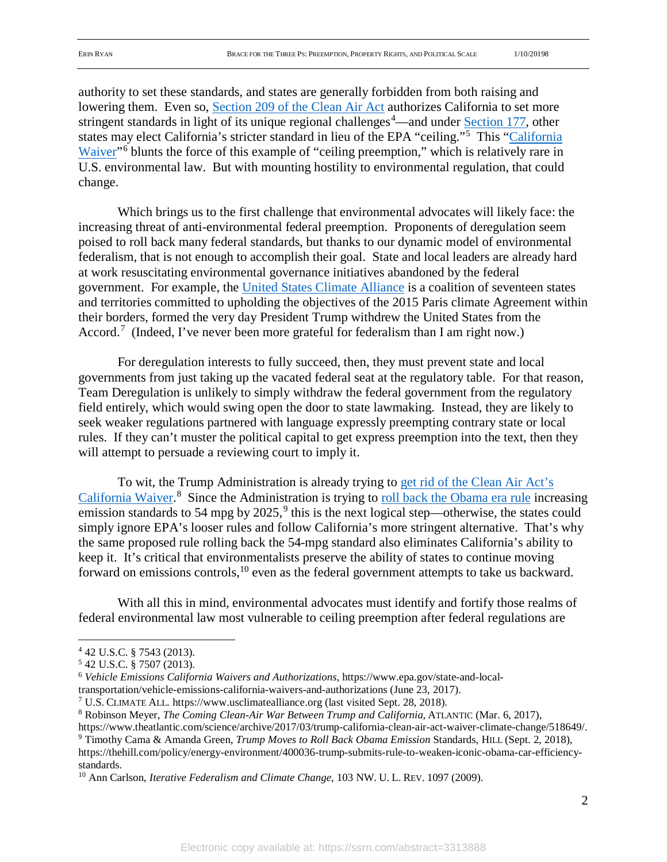authority to set these standards, and states are generally forbidden from both raising and lowering them. Even so, [Section 209 of the Clean Air Act](https://www.gpo.gov/fdsys/pkg/USCODE-2013-title42/html/USCODE-2013-title42-chap85-subchapII-partA-sec7543.htm) authorizes California to set more stringent standards in light of its unique regional challenges<sup>[4](#page-2-0)</sup>—and under **Section 177**, other states may elect California's stricter standard in lieu of the EPA "ceiling."<sup>[5](#page-2-1)</sup> This "California [Waiver"](https://www.epa.gov/state-and-local-transportation/vehicle-emissions-california-waivers-and-authorizations)<sup>[6](#page-2-2)</sup> blunts the force of this example of "ceiling preemption," which is relatively rare in U.S. environmental law. But with mounting hostility to environmental regulation, that could change.

Which brings us to the first challenge that environmental advocates will likely face: the increasing threat of anti-environmental federal preemption. Proponents of deregulation seem poised to roll back many federal standards, but thanks to our dynamic model of environmental federalism, that is not enough to accomplish their goal. State and local leaders are already hard at work resuscitating environmental governance initiatives abandoned by the federal government. For example, the [United States Climate Alliance](https://www.usclimatealliance.org/) is a coalition of seventeen states and territories committed to upholding the objectives of the 2015 Paris climate Agreement within their borders, formed the very day President Trump withdrew the United States from the Accord.<sup>[7](#page-2-3)</sup> (Indeed, I've never been more grateful for federalism than I am right now.)

For deregulation interests to fully succeed, then, they must prevent state and local governments from just taking up the vacated federal seat at the regulatory table. For that reason, Team Deregulation is unlikely to simply withdraw the federal government from the regulatory field entirely, which would swing open the door to state lawmaking. Instead, they are likely to seek weaker regulations partnered with language expressly preempting contrary state or local rules. If they can't muster the political capital to get express preemption into the text, then they will attempt to persuade a reviewing court to imply it.

To wit, the Trump Administration is already trying to [get rid of the Clean Air Act's](https://www.theatlantic.com/science/archive/2017/03/trump-california-clean-air-act-waiver-climate-change/518649/)  [California Waiver.](https://www.theatlantic.com/science/archive/2017/03/trump-california-clean-air-act-waiver-climate-change/518649/)<sup>[8](#page-2-4)</sup> Since the Administration is trying to [roll back the Obama](http://thehill.com/policy/energy-environment/400036-trump-submits-rule-to-weaken-iconic-obama-car-efficiency-standards) era rule increasing emission standards to 54 mpg by  $2025$ ,  $9$  this is the next logical step—otherwise, the states could simply ignore EPA's looser rules and follow California's more stringent alternative. That's why the same proposed rule rolling back the 54-mpg standard also eliminates California's ability to keep it. It's critical that environmentalists preserve the ability of states to continue moving forward on emissions controls,<sup>[10](#page-2-6)</sup> even as the federal government attempts to take us backward.

With all this in mind, environmental advocates must identify and fortify those realms of federal environmental law most vulnerable to ceiling preemption after federal regulations are

<span id="page-2-1"></span><span id="page-2-0"></span><sup>&</sup>lt;sup>4</sup> 42 U.S.C. § 7543 (2013).<br><sup>5</sup> 42 U.S.C. § 7507 (2013).

<span id="page-2-2"></span><sup>&</sup>lt;sup>6</sup> Vehicle Emissions California Waivers and Authorizations, https://www.epa.gov/state-and-localtransportation/vehicle-emissions-california-waivers-and-authorizations (June 23, 2017).

<span id="page-2-3"></span><sup>7</sup> U.S. CLIMATE ALL. https://www.usclimatealliance.org (last visited Sept. 28, 2018).

<span id="page-2-4"></span><sup>8</sup> Robinson Meyer, *The Coming Clean-Air War Between Trump and California*, ATLANTIC (Mar. 6, 2017),

https://www.theatlantic.com/science/archive/2017/03/trump-california-clean-air-act-waiver-climate-change/518649/. <sup>9</sup> Timothy Cama & Amanda Green, *Trump Moves to Roll Back Obama Emission* Standards, HILL (Sept. 2, 2018),

<span id="page-2-5"></span>https://thehill.com/policy/energy-environment/400036-trump-submits-rule-to-weaken-iconic-obama-car-efficiencystandards. 10 Ann Carlson, *Iterative Federalism and Climate Change,* 103 NW. U. L. REV. 1097 (2009).

<span id="page-2-6"></span>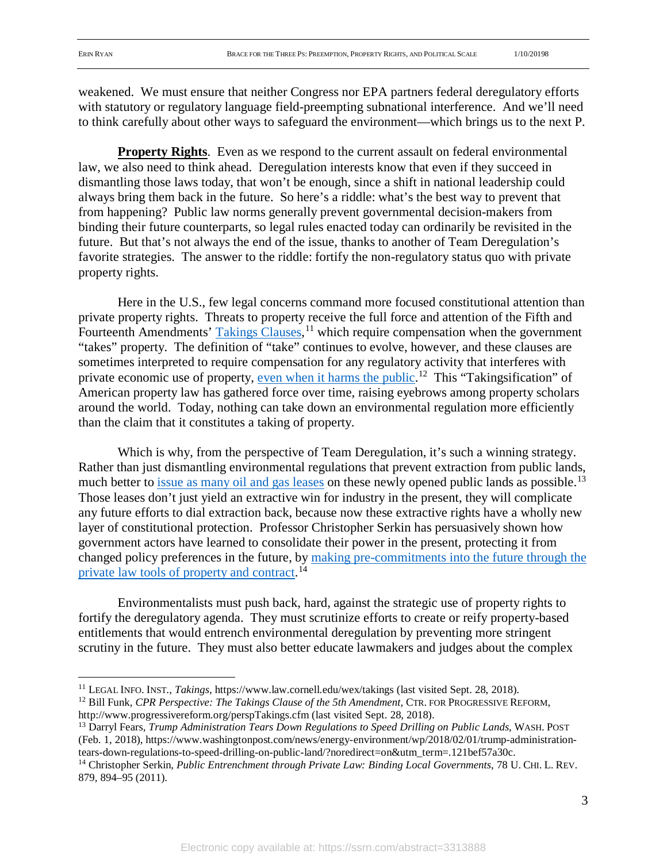weakened. We must ensure that neither Congress nor EPA partners federal deregulatory efforts with statutory or regulatory language field-preempting subnational interference. And we'll need to think carefully about other ways to safeguard the environment—which brings us to the next P.

**Property Rights**. Even as we respond to the current assault on federal environmental law, we also need to think ahead. Deregulation interests know that even if they succeed in dismantling those laws today, that won't be enough, since a shift in national leadership could always bring them back in the future. So here's a riddle: what's the best way to prevent that from happening? Public law norms generally prevent governmental decision-makers from binding their future counterparts, so legal rules enacted today can ordinarily be revisited in the future. But that's not always the end of the issue, thanks to another of Team Deregulation's favorite strategies. The answer to the riddle: fortify the non-regulatory status quo with private property rights.

Here in the U.S., few legal concerns command more focused constitutional attention than private property rights. Threats to property receive the full force and attention of the Fifth and Fourteenth Amendments' [Takings Clauses,](https://www.law.cornell.edu/wex/takings) <sup>[11](#page-3-0)</sup> which require compensation when the government "takes" property. The definition of "take" continues to evolve, however, and these clauses are sometimes interpreted to require compensation for any regulatory activity that interferes with private economic use of property, [even when it harms](http://www.progressivereform.org/perspTakings.cfm) the public.<sup>[12](#page-3-1)</sup> This "Takingsification" of American property law has gathered force over time, raising eyebrows among property scholars around the world. Today, nothing can take down an environmental regulation more efficiently than the claim that it constitutes a taking of property.

Which is why, from the perspective of Team Deregulation, it's such a winning strategy. Rather than just dismantling environmental regulations that prevent extraction from public lands, much better to [issue as many oil and gas leases](https://www.washingtonpost.com/news/energy-environment/wp/2018/02/01/trump-administration-tears-down-regulations-to-speed-drilling-on-public-land/?noredirect=on&utm_term=.736df8b03a02) on these newly opened public lands as possible.<sup>[13](#page-3-2)</sup> Those leases don't just yield an extractive win for industry in the present, they will complicate any future efforts to dial extraction back, because now these extractive rights have a wholly new layer of constitutional protection. Professor Christopher Serkin has persuasively shown how government actors have learned to consolidate their power in the present, protecting it from changed policy preferences in the future, by [making pre-commitments into the future through the](https://chicagounbound.uchicago.edu/uclrev/vol78/iss3/3/)  [private law tools of property and contract.](https://chicagounbound.uchicago.edu/uclrev/vol78/iss3/3/)<sup>[14](#page-3-3)</sup>

Environmentalists must push back, hard, against the strategic use of property rights to fortify the deregulatory agenda. They must scrutinize efforts to create or reify property-based entitlements that would entrench environmental deregulation by preventing more stringent scrutiny in the future. They must also better educate lawmakers and judges about the complex

<span id="page-3-1"></span><sup>12</sup> Bill Funk, *CPR Perspective: The Takings Clause of the 5th Amendment*, CTR. FOR PROGRESSIVE REFORM, http://www.progressivereform.org/perspTakings.cfm (last visited Sept. 28, 2018).

<span id="page-3-0"></span> <sup>11</sup> LEGAL INFO. INST., *Takings*, https://www.law.cornell.edu/wex/takings (last visited Sept. 28, 2018).

<span id="page-3-2"></span><sup>13</sup> Darryl Fears, *Trump Administration Tears Down Regulations to Speed Drilling on Public Lands*, WASH. POST (Feb. 1, 2018), https://www.washingtonpost.com/news/energy-environment/wp/2018/02/01/trump-administrationtears-down-regulations-to-speed-drilling-on-public-land/?noredirect=on&utm\_term=.121bef57a30c.

<span id="page-3-3"></span><sup>14</sup> Christopher Serkin, *Public Entrenchment through Private Law: Binding Local Governments*, 78 U. CHI. L. REV. 879, 894–95 (2011).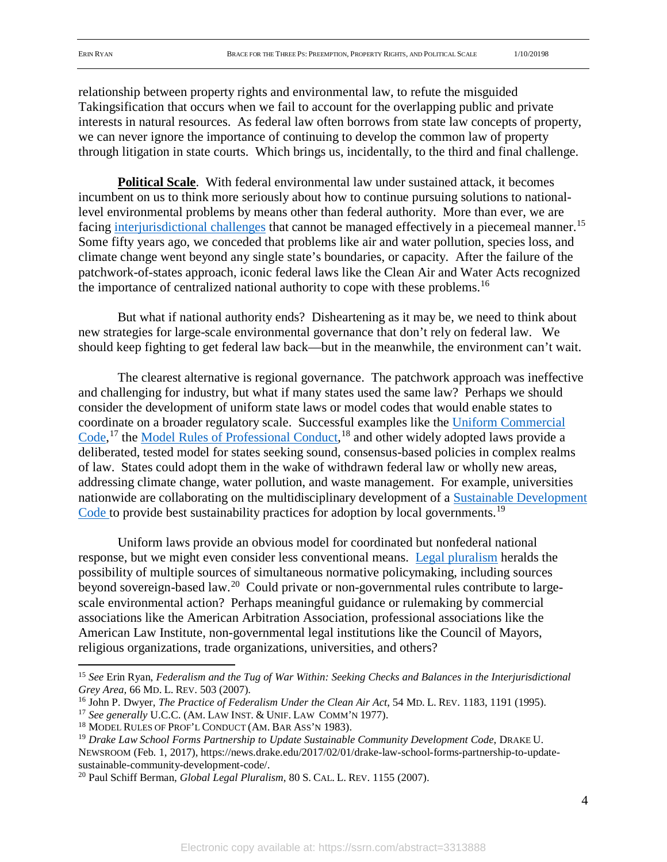relationship between property rights and environmental law, to refute the misguided Takingsification that occurs when we fail to account for the overlapping public and private interests in natural resources. As federal law often borrows from state law concepts of property, we can never ignore the importance of continuing to develop the common law of property through litigation in state courts. Which brings us, incidentally, to the third and final challenge.

**Political Scale**. With federal environmental law under sustained attack, it becomes incumbent on us to think more seriously about how to continue pursuing solutions to nationallevel environmental problems by means other than federal authority. More than ever, we are facing [interjurisdictional challenges](https://papers.ssrn.com/sol3/papers.cfm?abstract_id=930746) that cannot be managed effectively in a piecemeal manner.<sup>[15](#page-4-0)</sup> Some fifty years ago, we conceded that problems like air and water pollution, species loss, and climate change went beyond any single state's boundaries, or capacity. After the failure of the patchwork-of-states approach, iconic federal laws like the Clean Air and Water Acts recognized the importance of centralized national authority to cope with these problems.<sup>[16](#page-4-1)</sup>

But what if national authority ends? Disheartening as it may be, we need to think about new strategies for large-scale environmental governance that don't rely on federal law. We should keep fighting to get federal law back—but in the meanwhile, the environment can't wait.

The clearest alternative is regional governance. The patchwork approach was ineffective and challenging for industry, but what if many states used the same law? Perhaps we should consider the development of uniform state laws or model codes that would enable states to coordinate on a broader regulatory scale. Successful examples like the [Uniform Commercial](https://www.law.cornell.edu/ucc)  [Code,](https://www.law.cornell.edu/ucc)<sup>[17](#page-4-2)</sup> the [Model Rules of Professional Conduct,](https://www.americanbar.org/groups/professional_responsibility/publications/model_rules_of_professional_conduct/model_rules_of_professional_conduct_table_of_contents.html)<sup>[18](#page-4-3)</sup> and other widely adopted laws provide a deliberated, tested model for states seeking sound, consensus-based policies in complex realms of law. States could adopt them in the wake of withdrawn federal law or wholly new areas, addressing climate change, water pollution, and waste management. For example, universities nationwide are collaborating on the multidisciplinary development of a [Sustainable Development](https://drive.google.com/file/d/1qSjx-DhgQVqP-MN3TuNFzXkD5bqjz-O3/view)  [Code t](https://drive.google.com/file/d/1qSjx-DhgQVqP-MN3TuNFzXkD5bqjz-O3/view)o provide best sustainability practices for adoption by local governments.<sup>[19](#page-4-4)</sup>

Uniform laws provide an obvious model for coordinated but nonfederal national response, but we might even consider less conventional means. [Legal pluralism](https://papers.ssrn.com/sol3/papers.cfm?abstract_id=985340) heralds the possibility of multiple sources of simultaneous normative policymaking, including sources beyond sovereign-based law.[20](#page-4-5) Could private or non-governmental rules contribute to largescale environmental action? Perhaps meaningful guidance or rulemaking by commercial associations like the American Arbitration Association, professional associations like the American Law Institute, non-governmental legal institutions like the Council of Mayors, religious organizations, trade organizations, universities, and others?

<span id="page-4-0"></span> <sup>15</sup> *See* Erin Ryan, *Federalism and the Tug of War Within: Seeking Checks and Balances in the Interjurisdictional Grey Area,* 66 MD. L. REV. 503 (2007).

<span id="page-4-1"></span><sup>16</sup> John P. Dwyer, *The Practice of Federalism Under the Clean Air Act*, 54 MD. L. REV. 1183, 1191 (1995).

<span id="page-4-2"></span><sup>17</sup> *See generally* U.C.C. (AM. LAW INST. & UNIF. LAW COMM'N 1977).

<span id="page-4-3"></span><sup>&</sup>lt;sup>18</sup> MODEL RULES OF PROF'L CONDUCT (AM. BAR ASS'N 1983).

<span id="page-4-4"></span><sup>19</sup> *Drake Law School Forms Partnership to Update Sustainable Community Development Code*, DRAKE U. NEWSROOM (Feb. 1, 2017), https://news.drake.edu/2017/02/01/drake-law-school-forms-partnership-to-updatesustainable-community-development-code/.<br><sup>20</sup> Paul Schiff Berman, *Global Legal Pluralism*, 80 S. CAL. L. REV. 1155 (2007).

<span id="page-4-5"></span>